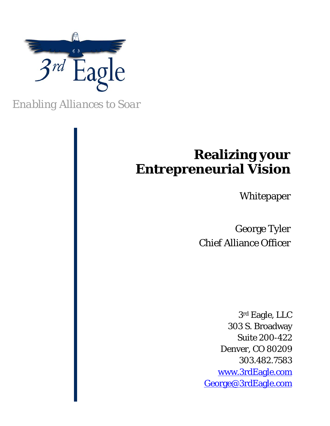

*Enabling Alliances to Soar* 

# **Realizing your Entrepreneurial Vision**

Whitepaper

George Tyler Chief Alliance Officer

3rd Eagle, LLC 303 S. Broadway Suite 200-422 Denver, CO 80209 303.482.7583 www.3rdEagle.com George@3rdEagle.com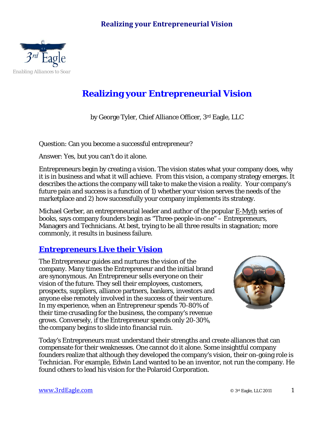# **Realizing your Entrepreneurial Vision**



# **Realizing your Entrepreneurial Vision**

by George Tyler, Chief Alliance Officer, 3rd Eagle, LLC

Question: Can you become a successful entrepreneur?

Answer: Yes, but you can't do it alone.

Entrepreneurs begin by creating a vision. The vision states what your company does, why it is in business and what it will achieve. From this vision, a company strategy emerges. It describes the actions the company will take to make the vision a reality. Your company's future pain and success is a function of 1) whether your vision serves the needs of the marketplace and 2) how successfully your company implements its strategy.

Michael Gerber, an entrepreneurial leader and author of the popular E-Myth series of books, says company founders begin as "Three-people-in-one" – Entrepreneurs, Managers and Technicians. At best, trying to be all three results in stagnation; more commonly, it results in business failure.

# **Entrepreneurs Live their Vision**

The Entrepreneur guides and nurtures the vision of the company. Many times the Entrepreneur and the initial brand are synonymous. An Entrepreneur sells everyone on their vision of the future. They sell their employees, customers, prospects, suppliers, alliance partners, bankers, investors and anyone else remotely involved in the success of their venture. In my experience, when an Entrepreneur spends 70-80% of their time crusading for the business, the company's revenue grows. Conversely, if the Entrepreneur spends only 20-30%, the company begins to slide into financial ruin.



Today's Entrepreneurs must understand their strengths and create alliances that can compensate for their weaknesses. One cannot do it alone. Some insightful company founders realize that although they developed the company's vision, their on-going role is Technician. For example, Edwin Land wanted to be an inventor, not run the company. He found others to lead his vision for the Polaroid Corporation.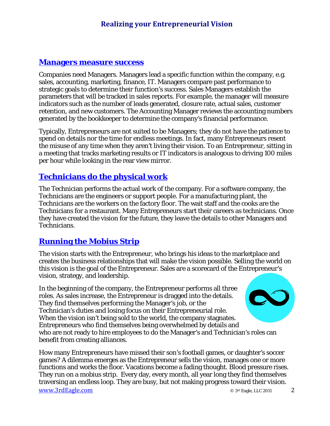# **Realizing your Entrepreneurial Vision**

#### **Managers measure success**

Companies need Managers. Managers lead a specific function within the company, e.g. sales, accounting, marketing, finance, IT. Managers compare past performance to strategic goals to determine their function's success. Sales Managers establish the parameters that will be tracked in sales reports. For example, the manager will measure indicators such as the number of leads generated, closure rate, actual sales, customer retention, and new customers. The Accounting Manager reviews the accounting numbers generated by the bookkeeper to determine the company's financial performance.

Typically, Entrepreneurs are not suited to be Managers; they do not have the patience to spend on details nor the time for endless meetings. In fact, many Entrepreneurs resent the misuse of any time when they aren't living their vision. To an Entrepreneur, sitting in a meeting that tracks marketing results or IT indicators is analogous to driving 100 miles per hour while looking in the rear view mirror.

# **Technicians do the physical work**

The Technician performs the actual work of the company. For a software company, the Technicians are the engineers or support people. For a manufacturing plant, the Technicians are the workers on the factory floor. The wait staff and the cooks are the Technicians for a restaurant. Many Entrepreneurs start their careers as technicians. Once they have created the vision for the future, they leave the details to other Managers and Technicians.

# **Running the Mobius Strip**

The vision starts with the Entrepreneur, who brings his ideas to the marketplace and creates the business relationships that will make the vision possible. Selling the world on this vision is the goal of the Entrepreneur. Sales are a scorecard of the Entrepreneur's vision, strategy, and leadership.

In the beginning of the company, the Entrepreneur performs all three roles. As sales increase, the Entrepreneur is dragged into the details. They find themselves performing the Manager's job, or the Technician's duties and losing focus on their Entrepreneurial role. When the vision isn't being sold to the world, the company stagnates. Entrepreneurs who find themselves being overwhelmed by details and who are not ready to hire employees to do the Manager's and Technician's roles can

benefit from creating alliances.

www.3rdEagle.com  $\otimes$  3rd Eagle, LLC 2011 How many Entrepreneurs have missed their son's football games, or daughter's soccer games? A dilemma emerges as the Entrepreneur sells the vision, manages one or more functions and works the floor. Vacations become a fading thought. Blood pressure rises. They run on a mobius strip. Every day, every month, all year long they find themselves traversing an endless loop. They are busy, but not making progress toward their vision.